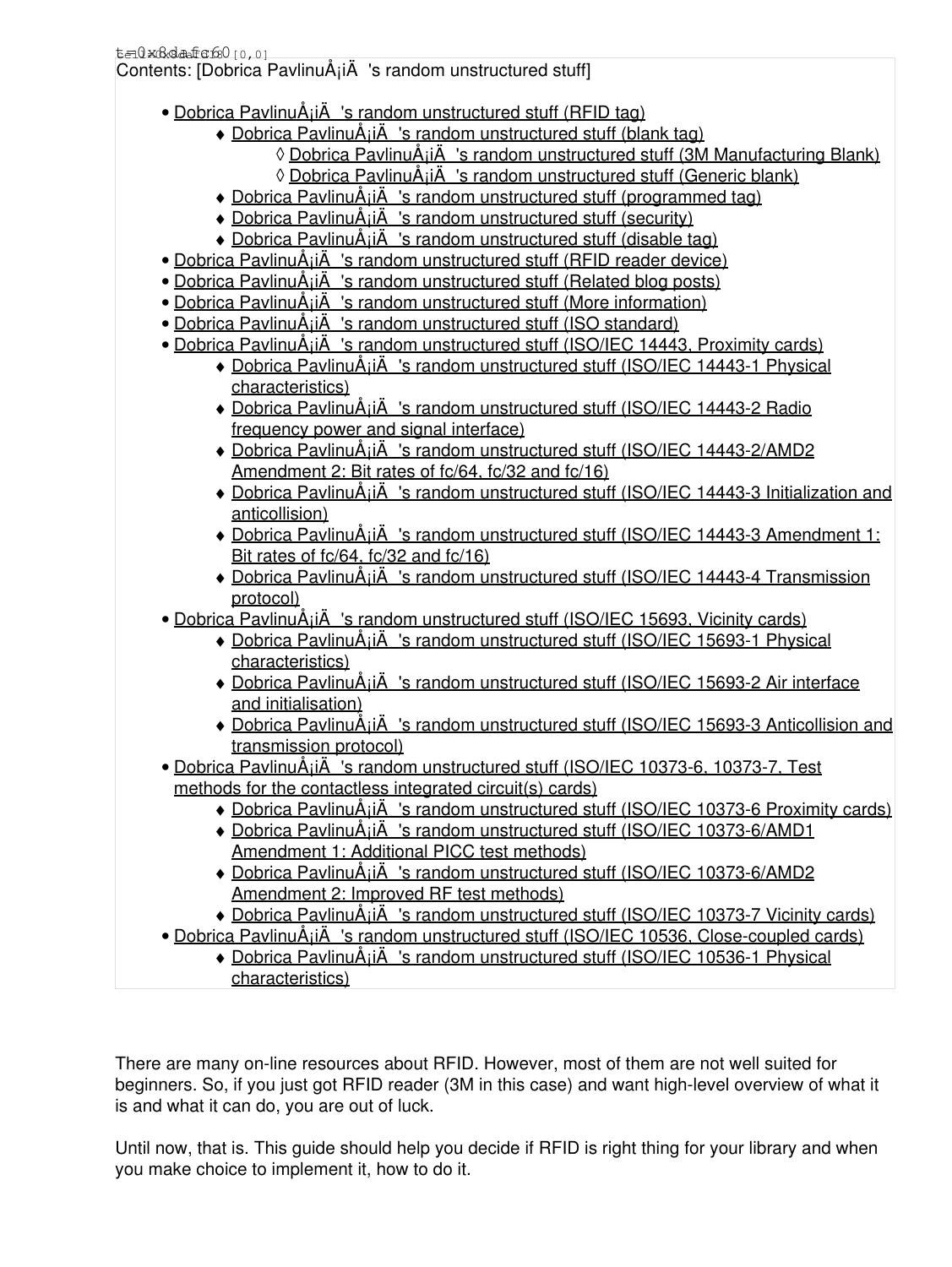| t=0x6dafa6000,01 |  |  |  |
|------------------|--|--|--|
|                  |  |  |  |

Contents: [Dobrica PavlinuÅ<sub>j</sub>iÄ 's random unstructured stuff]

- Dobrica PavlinuÅ<sub>i</sub>iÄ 's random unstructured stuff (RFID tag)
	- ◆ Dobrica PavlinuÅ<sub>i</sub>iÄ's random unstructured stuff (blank tag)
		- ◊ Dobrica PavlinuÅ¡iÄ 's random unstructured stuff (3M Manufacturing Blank)
		- ◊ [Dobrica PavlinuÅ¡iÄ's random unstructured stuff \(Generic blank\)](https://saturn.ffzg.hr/rot13/index.cgi?dobrica_pavlinu%C5%A1i%C4%87_s_random_unstructured_stuff#generic_blank)
	- ◆ Dobrica PavlinuÅ<sub>i</sub>iÄ's random unstructured stuff (programmed tag)
	- ◆ Dobrica PavlinuÅ¡iÄ 's random unstructured stuff (security)
	- ◆ Dobrica PavlinuÅ¡iÄ 's random unstructured stuff (disable tag)
- Dobrica PavlinuÅ<sub>i</sub>jÄ 's random unstructured stuff (RFID reader device)
- Dobrica PavlinuÅ<sub>i</sub>jÄ 's random unstructured stuff (Related blog posts)
- Dobrica PavlinuÅ<sub>i</sub>jÄ 's random unstructured stuff (More information)
- Dobrica PavlinuÅ¡iÄ 's random unstructured stuff (ISO standard)
- Dobrica PavlinuÅ<sub>i</sub>jÄ 's random unstructured stuff (ISO/IEC 14443, Proximity cards)
	- Dobrica PavlinuA<sub>i</sub>iA 's random unstructured stuff (ISO/IEC 14443-1 Physical [characteristics\)](https://saturn.ffzg.hr/rot13/index.cgi?dobrica_pavlinu%C5%A1i%C4%87_s_random_unstructured_stuff#iso_iec_14443_1_physical_characteristics)
	- Dobrica PavlinuA<sub>i</sub>iA 's random unstructured stuff (ISO/IEC 14443-2 Radio [frequency power and signal interface\)](https://saturn.ffzg.hr/rot13/index.cgi?dobrica_pavlinu%C5%A1i%C4%87_s_random_unstructured_stuff#iso_iec_14443_2_radio_frequency_power_and_signal_interface)
	- Dobrica PavlinuA<sub>i</sub>iA 's random unstructured stuff (ISO/IEC 14443-2/AMD2 [Amendment 2: Bit rates of fc/64, fc/32 and fc/16\)](https://saturn.ffzg.hr/rot13/index.cgi?dobrica_pavlinu%C5%A1i%C4%87_s_random_unstructured_stuff#iso_iec_14443_2_amd2_amendment_2_bit_rates_of_fc_64_fc_32_and_fc_16)
	- Dobrica PavlinuA<sub>j</sub>iA 's random unstructured stuff (ISO/IEC 14443-3 Initialization and [anticollision\)](https://saturn.ffzg.hr/rot13/index.cgi?dobrica_pavlinu%C5%A1i%C4%87_s_random_unstructured_stuff#iso_iec_14443_3_initialization_and_anticollision)
	- Dobrica PavlinuA<sub>i</sub>iA 's random unstructured stuff (ISO/IEC 14443-3 Amendment 1: [Bit rates of fc/64, fc/32 and fc/16\)](https://saturn.ffzg.hr/rot13/index.cgi?dobrica_pavlinu%C5%A1i%C4%87_s_random_unstructured_stuff#iso_iec_14443_3_amendment_1_bit_rates_of_fc_64_fc_32_and_fc_16)
	- Dobrica PavlinuA<sub>i</sub>iA 's random unstructured stuff (ISO/IEC 14443-4 Transmission [protocol\)](https://saturn.ffzg.hr/rot13/index.cgi?dobrica_pavlinu%C5%A1i%C4%87_s_random_unstructured_stuff#iso_iec_14443_4_transmission_protocol)
- Dobrica PavlinuÅ¡iÄ 's random unstructured stuff (ISO/IEC 15693, Vicinity cards)
	- Dobrica PavlinuA<sub>i</sub>iA 's random unstructured stuff (ISO/IEC 15693-1 Physical [characteristics\)](https://saturn.ffzg.hr/rot13/index.cgi?dobrica_pavlinu%C5%A1i%C4%87_s_random_unstructured_stuff#iso_iec_15693_1_physical_characteristics)
	- Dobrica PavlinuA<sub>i</sub>iA 's random unstructured stuff (ISO/IEC 15693-2 Air interface [and initialisation\)](https://saturn.ffzg.hr/rot13/index.cgi?dobrica_pavlinu%C5%A1i%C4%87_s_random_unstructured_stuff#iso_iec_15693_2_air_interface_and_initialisation)
	- Dobrica PavlinuA<sub>j</sub>iA 's random unstructured stuff (ISO/IEC 15693-3 Anticollision and [transmission protocol\)](https://saturn.ffzg.hr/rot13/index.cgi?dobrica_pavlinu%C5%A1i%C4%87_s_random_unstructured_stuff#iso_iec_15693_3_anticollision_and_transmission_protocol)
- Dobrica PavlinuA<sub>i</sub>iA 's random unstructured stuff (ISO/IEC 10373-6, 10373-7, Test [methods for the contactless integrated circuit\(s\) cards\)](https://saturn.ffzg.hr/rot13/index.cgi?dobrica_pavlinu%C5%A1i%C4%87_s_random_unstructured_stuff#iso_iec_10373_6_10373_7_test_methods_for_the_contactless_integrated_circuit_s_cards)
	- ◆ Dobrica PavlinuÅ<sub>i</sub>iÄ 's random unstructured stuff (ISO/IEC 10373-6 Proximity cards)
	- Dobrica PavlinuA<sub>i</sub>iA 's random unstructured stuff (ISO/IEC 10373-6/AMD1 [Amendment 1: Additional PICC test methods\)](https://saturn.ffzg.hr/rot13/index.cgi?dobrica_pavlinu%C5%A1i%C4%87_s_random_unstructured_stuff#iso_iec_10373_6_amd1_amendment_1_additional_picc_test_methods)
	- Dobrica PavlinuA<sub>i</sub>iA 's random unstructured stuff (ISO/IEC 10373-6/AMD2 [Amendment 2: Improved RF test methods\)](https://saturn.ffzg.hr/rot13/index.cgi?dobrica_pavlinu%C5%A1i%C4%87_s_random_unstructured_stuff#iso_iec_10373_6_amd2_amendment_2_improved_rf_test_methods)
	- ◆ Dobrica PavlinuÅ<sub>i</sub>iÄ 's random unstructured stuff (ISO/IEC 10373-7 Vicinity cards)
- Dobrica PavlinuÅ<sub>i</sub>jÄ 's random unstructured stuff (ISO/IEC 10536, Close-coupled cards)
	- Dobrica PavlinuA<sub>i</sub>iA 's random unstructured stuff (ISO/IEC 10536-1 Physical [characteristics\)](https://saturn.ffzg.hr/rot13/index.cgi?dobrica_pavlinu%C5%A1i%C4%87_s_random_unstructured_stuff#iso_iec_10536_1_physical_characteristics)

There are many on-line resources about RFID. However, most of them are not well suited for beginners. So, if you just got RFID reader (3M in this case) and want high-level overview of what it is and what it can do, you are out of luck.

Until now, that is. This guide should help you decide if RFID is right thing for your library and when you make choice to implement it, how to do it.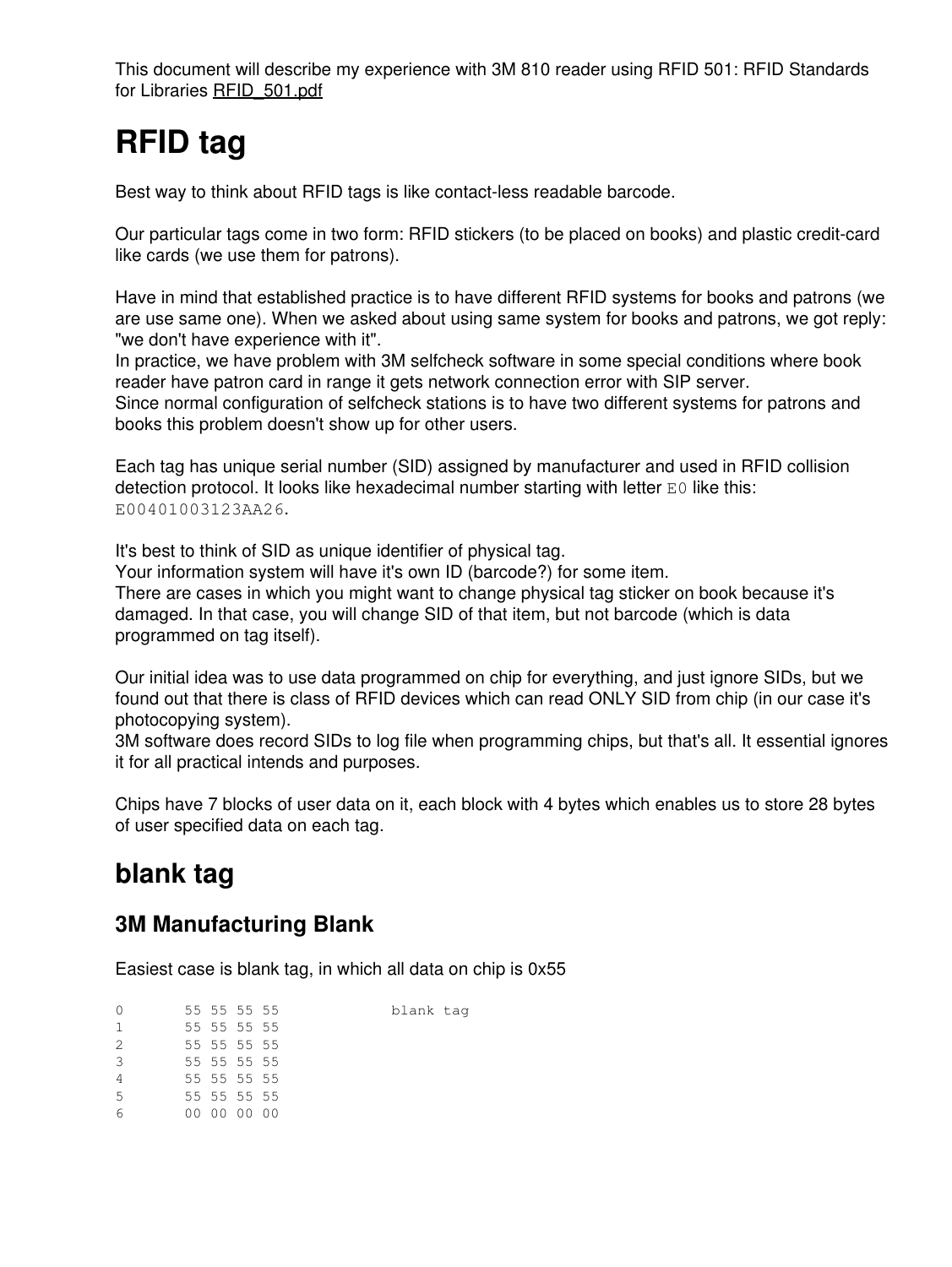This document will describe my experience with 3M 810 reader using RFID 501: RFID Standards for Libraries [RFID\\_501.pdf](https://saturn.ffzg.hr/rot13/index.cgi/RFID_501.pdf?action=attachments_download;page_name=hitchhikers_guide_to_rfid;id=20090412215130-0-9302)

# **RFID tag**

Best way to think about RFID tags is like contact-less readable barcode.

Our particular tags come in two form: RFID stickers (to be placed on books) and plastic credit-card like cards (we use them for patrons).

Have in mind that established practice is to have different RFID systems for books and patrons (we are use same one). When we asked about using same system for books and patrons, we got reply: "we don't have experience with it".

In practice, we have problem with 3M selfcheck software in some special conditions where book reader have patron card in range it gets network connection error with SIP server.

Since normal configuration of selfcheck stations is to have two different systems for patrons and books this problem doesn't show up for other users.

Each tag has unique serial number (SID) assigned by manufacturer and used in RFID collision detection protocol. It looks like hexadecimal number starting with letter E0 like this: E00401003123AA26.

It's best to think of SID as unique identifier of physical tag.

Your information system will have it's own ID (barcode?) for some item. There are cases in which you might want to change physical tag sticker on book because it's

damaged. In that case, you will change SID of that item, but not barcode (which is data programmed on tag itself).

Our initial idea was to use data programmed on chip for everything, and just ignore SIDs, but we found out that there is class of RFID devices which can read ONLY SID from chip (in our case it's photocopying system).

3M software does record SIDs to log file when programming chips, but that's all. It essential ignores it for all practical intends and purposes.

Chips have 7 blocks of user data on it, each block with 4 bytes which enables us to store 28 bytes of user specified data on each tag.

### **blank tag**

#### **3M Manufacturing Blank**

Easiest case is blank tag, in which all data on chip is 0x55

| $\mathbf 0$    |  | 55 55 55 55 | blank tag |
|----------------|--|-------------|-----------|
| $\mathbf{1}$   |  | 55 55 55 55 |           |
| 2              |  | 55 55 55 55 |           |
| 3              |  | 55 55 55 55 |           |
| $\overline{4}$ |  | 55 55 55 55 |           |
| 5              |  | 55 55 55 55 |           |
| 6              |  | 00 00 00 00 |           |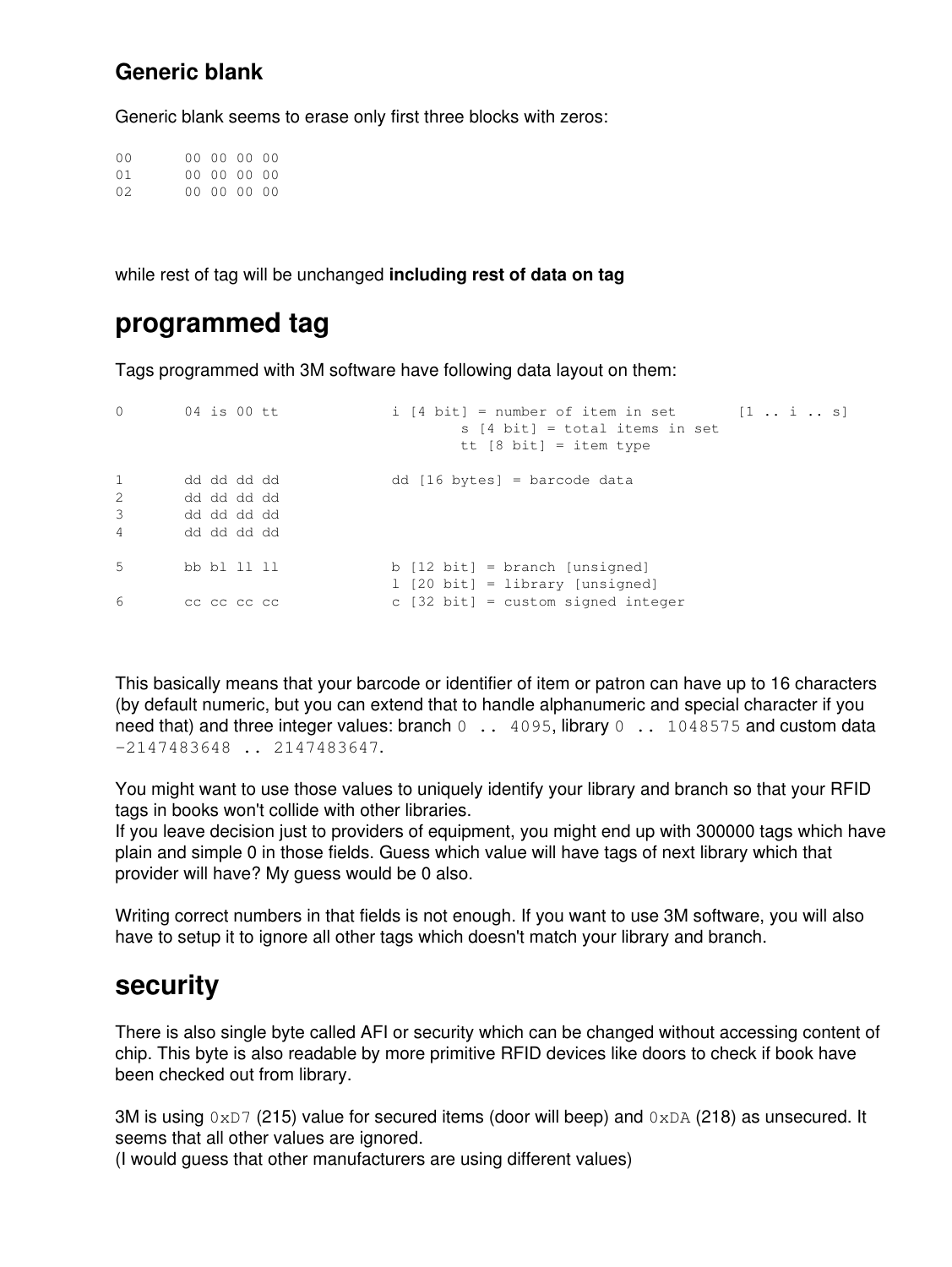#### **Generic blank**

Generic blank seems to erase only first three blocks with zeros:

00 00 00 00 00 01 00 00 00 00 02 00 00 00 00

while rest of tag will be unchanged **including rest of data on tag**

#### **programmed tag**

Tags programmed with 3M software have following data layout on them:

```
0 04 is 00 tt i [4 bit] = number of item in set [1 .. i .. s]
                                 s [4 bit] = total items in set
                                 tt [8 bit] = item type
1 dd dd dd dd dd [16 bytes] = barcode data
1 dd dd dd dd<br>2 dd dd dd dd
3 dd dd dd dd
4 dd dd dd dd
5 bb bl 11 ll b [12 bit] = branch [unsigned]
                          l [20 bit] = library [unsigned]
6 cc cc cc cc c [32 bit] = custom signed integer
```
This basically means that your barcode or identifier of item or patron can have up to 16 characters (by default numeric, but you can extend that to handle alphanumeric and special character if you need that) and three integer values: branch 0 . 4095, library 0 . 1048575 and custom data -2147483648 .. 2147483647.

You might want to use those values to uniquely identify your library and branch so that your RFID tags in books won't collide with other libraries.

If you leave decision just to providers of equipment, you might end up with 300000 tags which have plain and simple 0 in those fields. Guess which value will have tags of next library which that provider will have? My guess would be 0 also.

Writing correct numbers in that fields is not enough. If you want to use 3M software, you will also have to setup it to ignore all other tags which doesn't match your library and branch.

#### **security**

There is also single byte called AFI or security which can be changed without accessing content of chip. This byte is also readable by more primitive RFID devices like doors to check if book have been checked out from library.

3M is using  $0xD7$  (215) value for secured items (door will beep) and  $0xDA$  (218) as unsecured. It seems that all other values are ignored.

(I would guess that other manufacturers are using different values)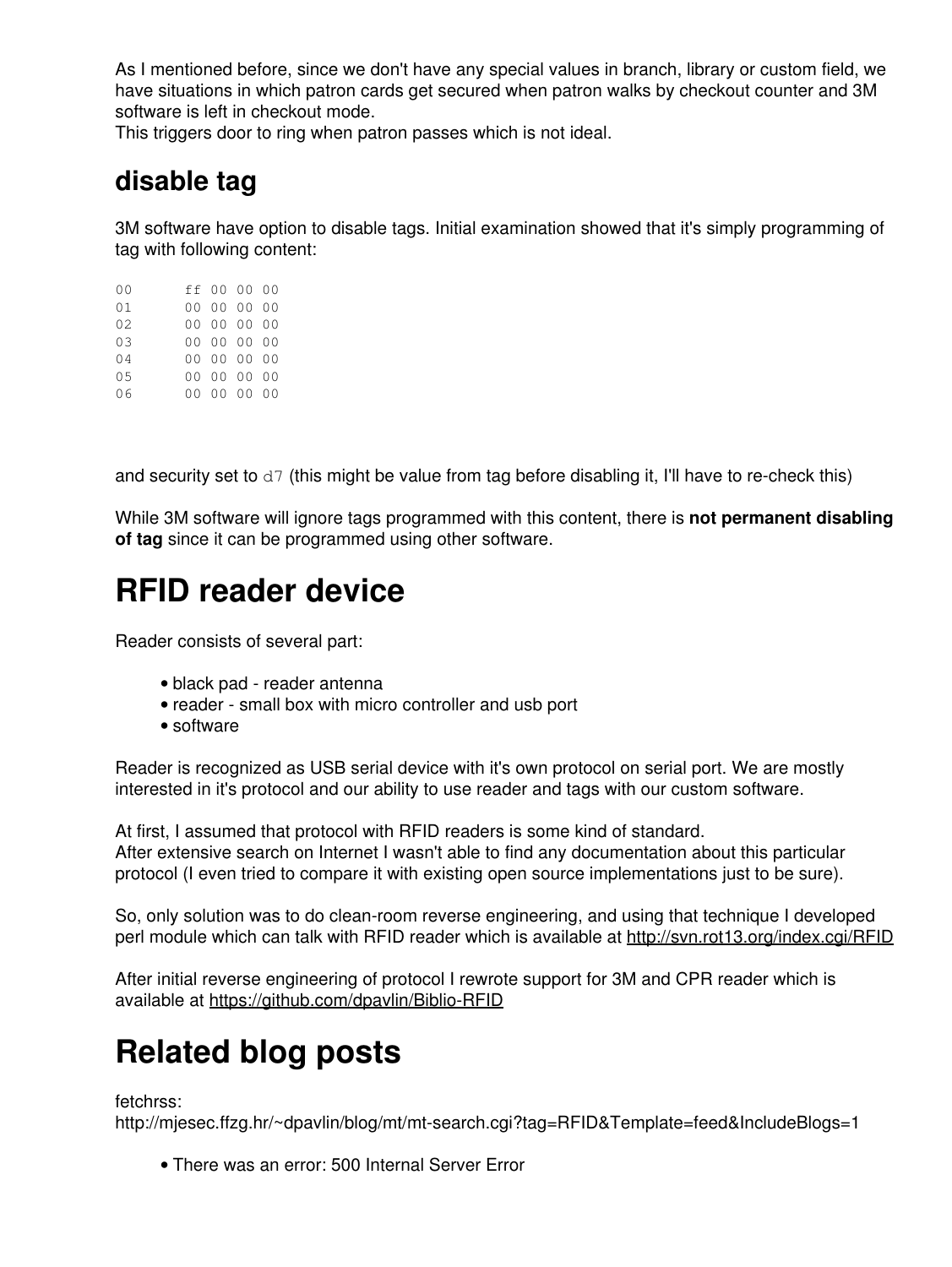As I mentioned before, since we don't have any special values in branch, library or custom field, we have situations in which patron cards get secured when patron walks by checkout counter and 3M software is left in checkout mode.

This triggers door to ring when patron passes which is not ideal.

### **disable tag**

3M software have option to disable tags. Initial examination showed that it's simply programming of tag with following content:

| 0 <sub>0</sub> |  | ff 00 00 00 |  |
|----------------|--|-------------|--|
| 01             |  | 00 00 00 00 |  |
| 02.            |  | 00 00 00 00 |  |
| 0.3            |  | 00 00 00 00 |  |
| 04             |  | 00 00 00 00 |  |
| 05             |  | 00 00 00 00 |  |
| 06             |  | 00 00 00 00 |  |

and security set to  $d7$  (this might be value from tag before disabling it, I'll have to re-check this)

While 3M software will ignore tags programmed with this content, there is **not permanent disabling of tag** since it can be programmed using other software.

## **RFID reader device**

Reader consists of several part:

- black pad reader antenna
- reader small box with micro controller and usb port
- software

Reader is recognized as USB serial device with it's own protocol on serial port. We are mostly interested in it's protocol and our ability to use reader and tags with our custom software.

At first, I assumed that protocol with RFID readers is some kind of standard. After extensive search on Internet I wasn't able to find any documentation about this particular protocol (I even tried to compare it with existing open source implementations just to be sure).

So, only solution was to do clean-room reverse engineering, and using that technique I developed perl module which can talk with RFID reader which is available at <http://svn.rot13.org/index.cgi/RFID>

After initial reverse engineering of protocol I rewrote support for 3M and CPR reader which is available at <https://github.com/dpavlin/Biblio-RFID>

# **Related blog posts**

fetchrss:

http://mjesec.ffzg.hr/~dpavlin/blog/mt/mt-search.cgi?tag=RFID&Template=feed&IncludeBlogs=1

• There was an error: 500 Internal Server Error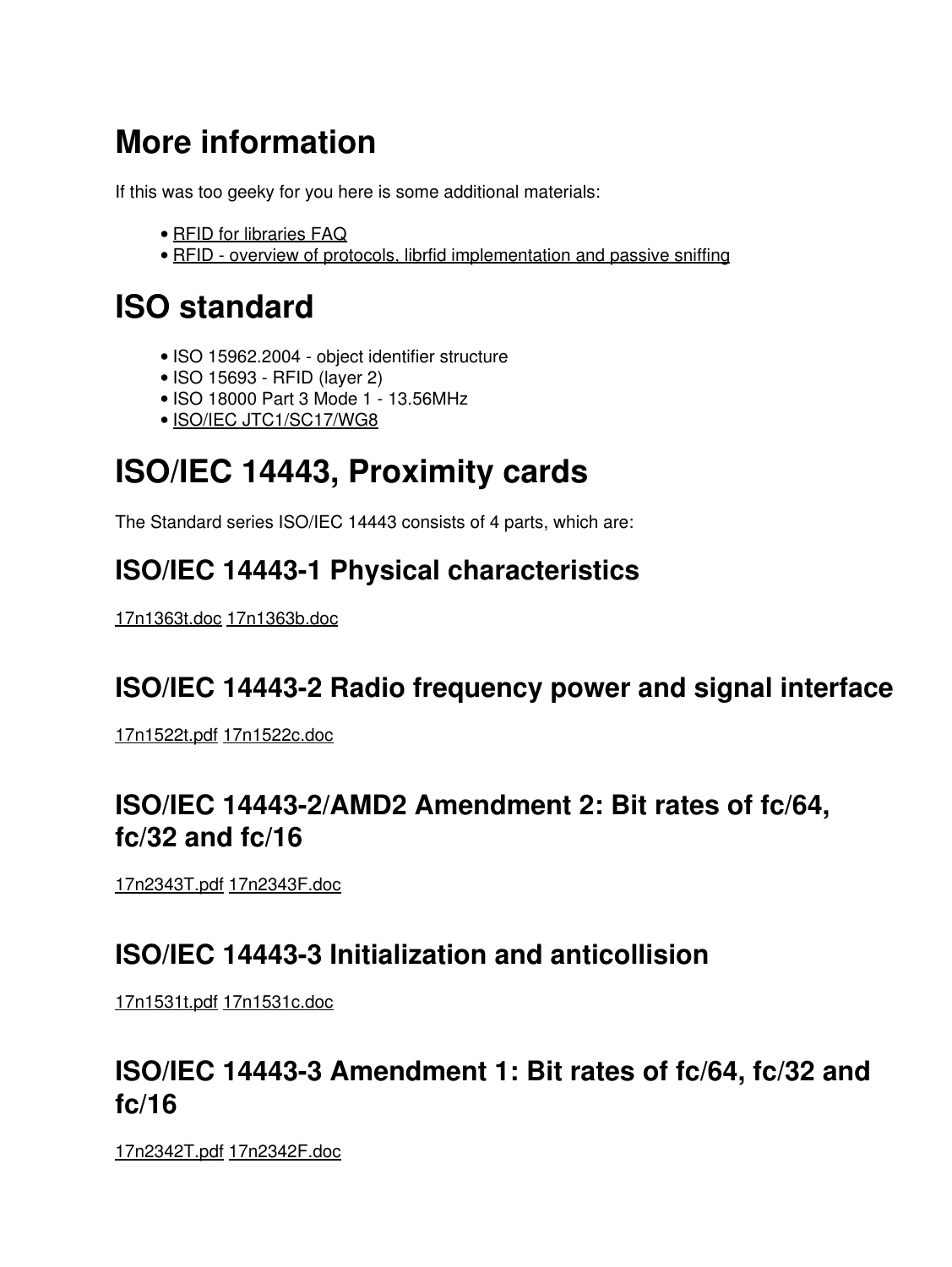# **More information**

If this was too geeky for you here is some additional materials:

- [RFID for libraries FAQ](http://www.bibliotheca-rfid.com/faq)
- [RFID overview of protocols, librfid implementation and passive sniffing](http://events.ccc.de/congress/2005/fahrplan/events/769.en.html)

## **ISO standard**

- ISO 15962.2004 object identifier structure
- ISO 15693 RFID (layer 2)
- ISO 18000 Part 3 Mode 1 13.56MHz
- [ISO/IEC JTC1/SC17/WG8](http://www.incits.org/tc_home/b105htm/b105Doc2003/N03-140-WG8-Work-Project.htm)

# **ISO/IEC 14443, Proximity cards**

The Standard series ISO/IEC 14443 consists of 4 parts, which are:

### **ISO/IEC 14443-1 Physical characteristics**

[17n1363t.doc](https://saturn.ffzg.hr/rot13/index.cgi/17n1363t.doc?action=attachments_download;page_name=hitchhikers_guide_to_rfid;id=20100120171842-3-24563) [17n1363b.doc](https://saturn.ffzg.hr/rot13/index.cgi/17n1363b.doc?action=attachments_download;page_name=hitchhikers_guide_to_rfid;id=20100120171841-2-24563)

### **ISO/IEC 14443-2 Radio frequency power and signal interface**

[17n1522t.pdf](https://saturn.ffzg.hr/rot13/index.cgi/17n1522t.pdf?action=attachments_download;page_name=hitchhikers_guide_to_rfid;id=20100120171850-9-24563) [17n1522c.doc](https://saturn.ffzg.hr/rot13/index.cgi/17n1522c.doc?action=attachments_download;page_name=hitchhikers_guide_to_rfid;id=20100120171848-8-24563)

#### **ISO/IEC 14443-2/AMD2 Amendment 2: Bit rates of fc/64, fc/32 and fc/16**

[17n2343T.pdf](https://saturn.ffzg.hr/rot13/index.cgi/17n2343T.pdf?action=attachments_download;page_name=hitchhikers_guide_to_rfid;id=20100120171908-28-24563) [17n2343F.doc](https://saturn.ffzg.hr/rot13/index.cgi/17n2343F.doc?action=attachments_download;page_name=hitchhikers_guide_to_rfid;id=20100120171907-27-24563)

#### **ISO/IEC 14443-3 Initialization and anticollision**

[17n1531t.pdf](https://saturn.ffzg.hr/rot13/index.cgi/17n1531t.pdf?action=attachments_download;page_name=hitchhikers_guide_to_rfid;id=20100120171852-11-24563) [17n1531c.doc](https://saturn.ffzg.hr/rot13/index.cgi/17n1531c.doc?action=attachments_download;page_name=hitchhikers_guide_to_rfid;id=20100120171850-10-24563)

#### **ISO/IEC 14443-3 Amendment 1: Bit rates of fc/64, fc/32 and fc/16**

[17n2342T.pdf](https://saturn.ffzg.hr/rot13/index.cgi/17n2342T.pdf?action=attachments_download;page_name=hitchhikers_guide_to_rfid;id=20100120171907-26-24563) [17n2342F.doc](https://saturn.ffzg.hr/rot13/index.cgi/17n2342F.doc?action=attachments_download;page_name=hitchhikers_guide_to_rfid;id=20100120171905-25-24563)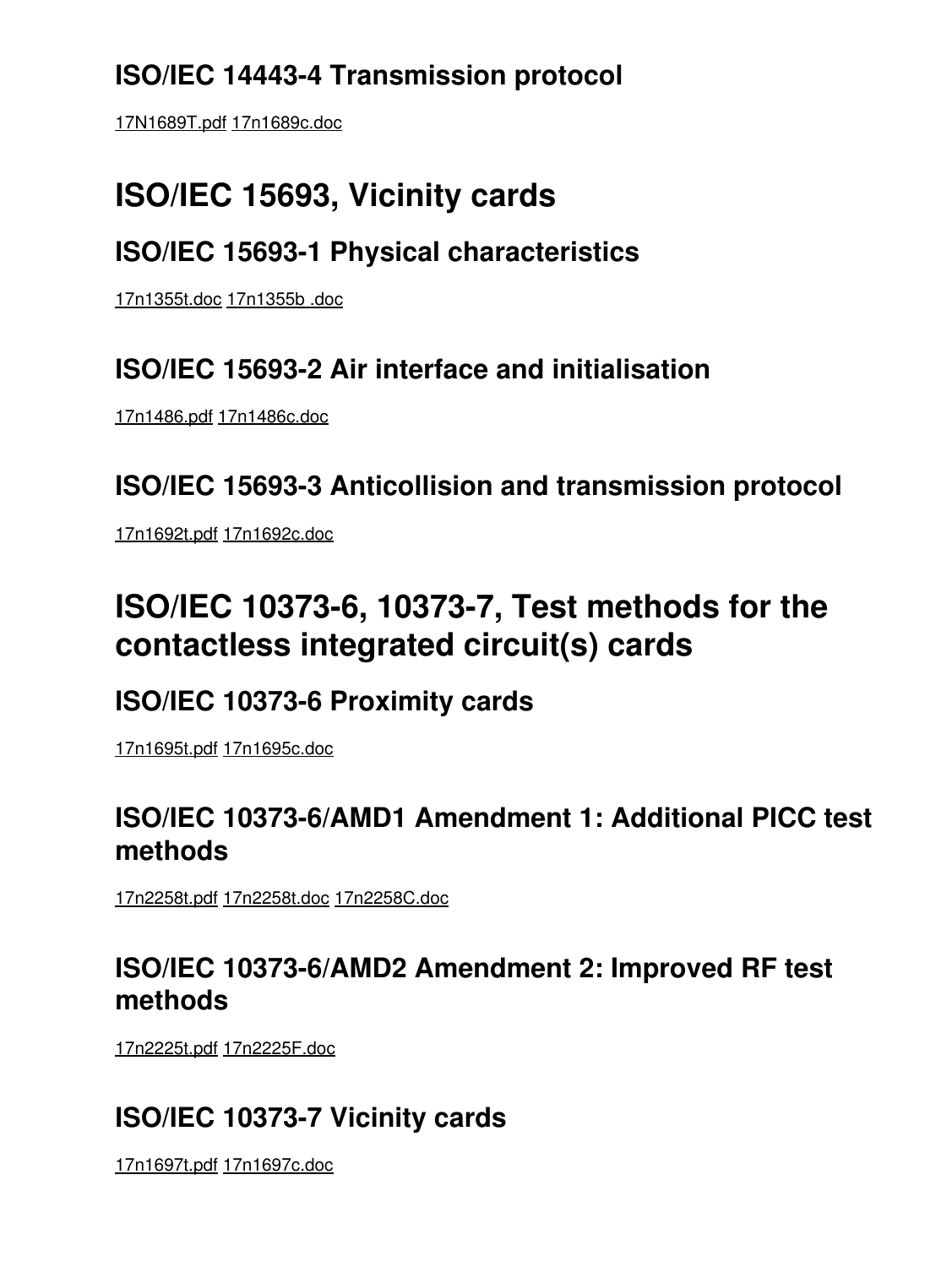## **ISO/IEC 14443-4 Transmission protocol**

[17N1689T.pdf](https://saturn.ffzg.hr/rot13/index.cgi/17N1689T.pdf?action=attachments_download;page_name=hitchhikers_guide_to_rfid;id=20100120171853-13-24563) [17n1689c.doc](https://saturn.ffzg.hr/rot13/index.cgi/17n1689c.doc?action=attachments_download;page_name=hitchhikers_guide_to_rfid;id=20100120171852-12-24563)

## **ISO/IEC 15693, Vicinity cards**

### **ISO/IEC 15693-1 Physical characteristics**

[17n1355t.doc](https://saturn.ffzg.hr/rot13/index.cgi/17n1355t.doc?action=attachments_download;page_name=hitchhikers_guide_to_rfid;id=20100120171841-1-24563) [17n1355b .doc](https://saturn.ffzg.hr/rot13/index.cgi/17n1355b%20.doc?action=attachments_download;page_name=hitchhikers_guide_to_rfid;id=20100120171840-0-24563)

### **ISO/IEC 15693-2 Air interface and initialisation**

[17n1486.pdf](https://saturn.ffzg.hr/rot13/index.cgi/17n1486.pdf?action=attachments_download;page_name=hitchhikers_guide_to_rfid;id=20100120171846-7-24563) [17n1486c.doc](https://saturn.ffzg.hr/rot13/index.cgi/17n1486c.doc?action=attachments_download;page_name=hitchhikers_guide_to_rfid;id=20100120171846-6-24563)

**ISO/IEC 15693-3 Anticollision and transmission protocol**

[17n1692t.pdf](https://saturn.ffzg.hr/rot13/index.cgi/17n1692t.pdf?action=attachments_download;page_name=hitchhikers_guide_to_rfid;id=20100120171856-15-24563) [17n1692c.doc](https://saturn.ffzg.hr/rot13/index.cgi/17n1692c.doc?action=attachments_download;page_name=hitchhikers_guide_to_rfid;id=20100120171854-14-24563)

## **ISO/IEC 10373-6, 10373-7, Test methods for the contactless integrated circuit(s) cards**

### **ISO/IEC 10373-6 Proximity cards**

[17n1695t.pdf](https://saturn.ffzg.hr/rot13/index.cgi/17n1695t.pdf?action=attachments_download;page_name=hitchhikers_guide_to_rfid;id=20100120171857-17-24563) [17n1695c.doc](https://saturn.ffzg.hr/rot13/index.cgi/17n1695c.doc?action=attachments_download;page_name=hitchhikers_guide_to_rfid;id=20100120171856-16-24563)

### **ISO/IEC 10373-6/AMD1 Amendment 1: Additional PICC test methods**

[17n2258t.pdf](https://saturn.ffzg.hr/rot13/index.cgi/17n2258t.pdf?action=attachments_download;page_name=hitchhikers_guide_to_rfid;id=20100120171904-24-24563) [17n2258t.doc](https://saturn.ffzg.hr/rot13/index.cgi/17n2258t.doc?action=attachments_download;page_name=hitchhikers_guide_to_rfid;id=20100120171904-23-24563) [17n2258C.doc](https://saturn.ffzg.hr/rot13/index.cgi/17n2258C.doc?action=attachments_download;page_name=hitchhikers_guide_to_rfid;id=20100120171902-22-24563)

### **ISO/IEC 10373-6/AMD2 Amendment 2: Improved RF test methods**

[17n2225t.pdf](https://saturn.ffzg.hr/rot13/index.cgi/17n2225t.pdf?action=attachments_download;page_name=hitchhikers_guide_to_rfid;id=20100120171901-21-24563) [17n2225F.doc](https://saturn.ffzg.hr/rot13/index.cgi/17n2225F.doc?action=attachments_download;page_name=hitchhikers_guide_to_rfid;id=20100120171900-20-24563)

## **ISO/IEC 10373-7 Vicinity cards**

[17n1697t.pdf](https://saturn.ffzg.hr/rot13/index.cgi/17n1697t.pdf?action=attachments_download;page_name=hitchhikers_guide_to_rfid;id=20100120171900-19-24563) [17n1697c.doc](https://saturn.ffzg.hr/rot13/index.cgi/17n1697c.doc?action=attachments_download;page_name=hitchhikers_guide_to_rfid;id=20100120171858-18-24563)